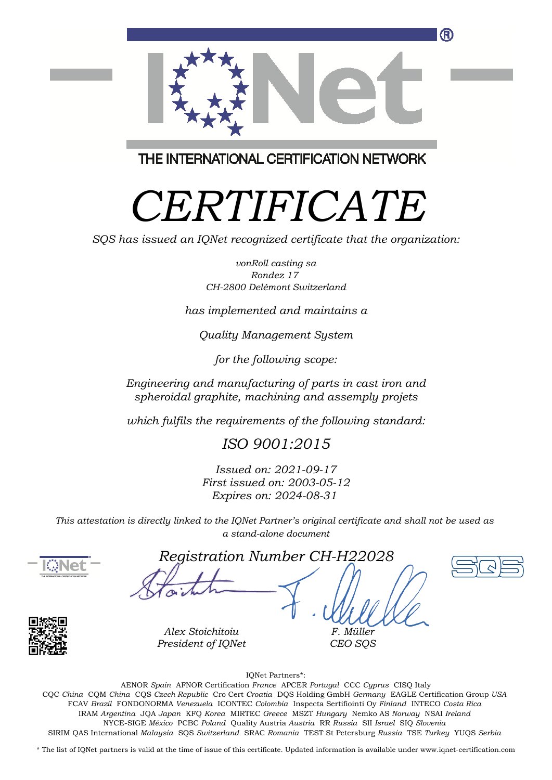

THE INTERNATIONAL CERTIFICATION NETWORK

# *CERTIFICATE*

*SQS has issued an IQNet recognized certificate that the organization:*

*vonRoll casting sa Rondez 17 CH-2800 Delémont Switzerland*

*has implemented and maintains a*

*Quality Management System*

*for the following scope:*

*Engineering and manufacturing of parts in cast iron and spheroidal graphite, machining and assemply projets*

*which fulfils the requirements of the following standard:*

*ISO 9001:2015*

*Issued on: 2021-09-17 First issued on: 2003-05-12 Expires on: 2024-08-31*

*This attestation is directly linked to the IQNet Partner's original certificate and shall not be used as a stand-alone document*



*Registration Number CH-H22028*



*Alex Stoichitoiu President of IQNet*

*F. Müller CEO SQS*

IQNet Partners\*:

This annex is only valid in connection with the above-mentioned certificate. FCAV *Brazil* FONDONORMA *Venezuela* ICONTEC *Colombia* Inspecta Sertifiointi Oy *Finland* INTECO *Costa Rica* AENOR *Spain* AFNOR Certification *France* APCER *Portugal* CCC *Cyprus* CISQ Italy CQC *China* CQM *China* CQS *Czech Republic* Cro Cert *Croatia* DQS Holding GmbH *Germany* EAGLE Certification Group *USA* IRAM *Argentina* JQA *Japan* KFQ *Korea* MIRTEC *Greece* MSZT *Hungary* Nemko AS *Norway* NSAI *Ireland* NYCE-SIGE *México* PCBC *Poland* Quality Austria *Austria* RR *Russia* SII *Israel* SIQ *Slovenia* SIRIM QAS International *Malaysia* SQS *Switzerland* SRAC *Romania* TEST St Petersburg *Russia* TSE *Turkey* YUQS *Serbia*

\* The list of IQNet partners is valid at the time of issue of this certificate. Updated information is available under www.iqnet-certification.com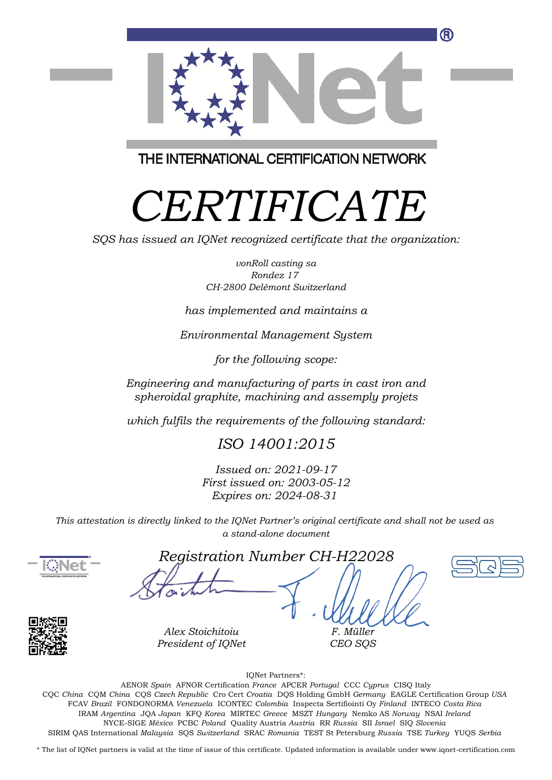

THE INTERNATIONAL CERTIFICATION NETWORK

## *CERTIFICATE*

*SQS has issued an IQNet recognized certificate that the organization:*

*vonRoll casting sa Rondez 17 CH-2800 Delémont Switzerland*

*has implemented and maintains a*

*Environmental Management System*

*for the following scope:*

*Engineering and manufacturing of parts in cast iron and spheroidal graphite, machining and assemply projets*

*which fulfils the requirements of the following standard:*

### *ISO 14001:2015*

*Issued on: 2021-09-17 First issued on: 2003-05-12 Expires on: 2024-08-31*

*This attestation is directly linked to the IQNet Partner's original certificate and shall not be used as a stand-alone document*



*Registration Number CH-H22028*



*Alex Stoichitoiu President of IQNet*

*CEO SQS*

*F. Müller*

IQNet Partners\*:

This annex is only valid in connection with the above-mentioned certificate. FCAV *Brazil* FONDONORMA *Venezuela* ICONTEC *Colombia* Inspecta Sertifiointi Oy *Finland* INTECO *Costa Rica* AENOR *Spain* AFNOR Certification *France* APCER *Portugal* CCC *Cyprus* CISQ Italy CQC *China* CQM *China* CQS *Czech Republic* Cro Cert *Croatia* DQS Holding GmbH *Germany* EAGLE Certification Group *USA* IRAM *Argentina* JQA *Japan* KFQ *Korea* MIRTEC *Greece* MSZT *Hungary* Nemko AS *Norway* NSAI *Ireland* NYCE-SIGE *México* PCBC *Poland* Quality Austria *Austria* RR *Russia* SII *Israel* SIQ *Slovenia* SIRIM QAS International *Malaysia* SQS *Switzerland* SRAC *Romania* TEST St Petersburg *Russia* TSE *Turkey* YUQS *Serbia*

\* The list of IQNet partners is valid at the time of issue of this certificate. Updated information is available under www.iqnet-certification.com